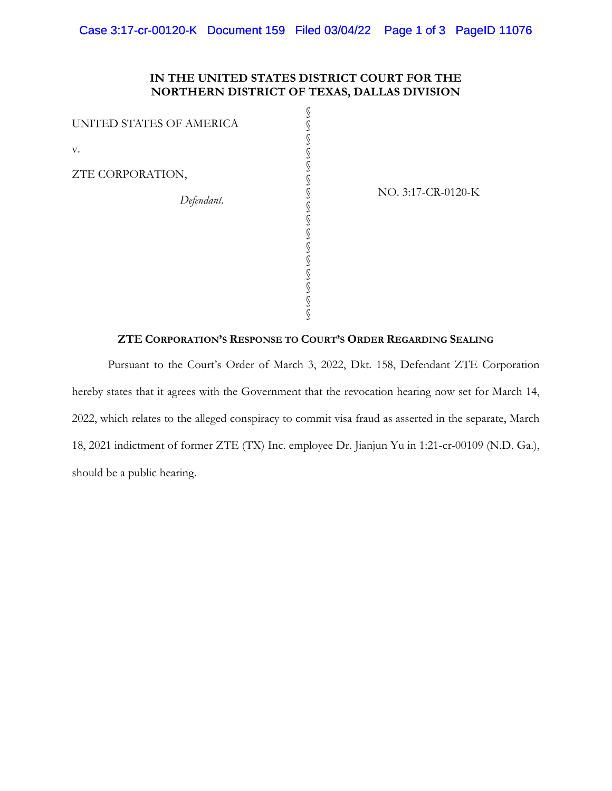# **IN THE UNITED STATES DISTRICT COURT FOR THE NORTHERN DISTRICT OF TEXAS, DALLAS DIVISION**

§ § § § § § § § § § § § § § § §

UNITED STATES OF AMERICA v.

ZTE CORPORATION,

*Defendant*.

NO. 3:17-CR-0120-K

### **ZTE CORPORATION'S RESPONSE TO COURT'S ORDER REGARDING SEALING**

Pursuant to the Court's Order of March 3, 2022, Dkt. 158, Defendant ZTE Corporation hereby states that it agrees with the Government that the revocation hearing now set for March 14, 2022, which relates to the alleged conspiracy to commit visa fraud as asserted in the separate, March 18, 2021 indictment of former ZTE (TX) Inc. employee Dr. Jianjun Yu in 1:21-cr-00109 (N.D. Ga.), should be a public hearing.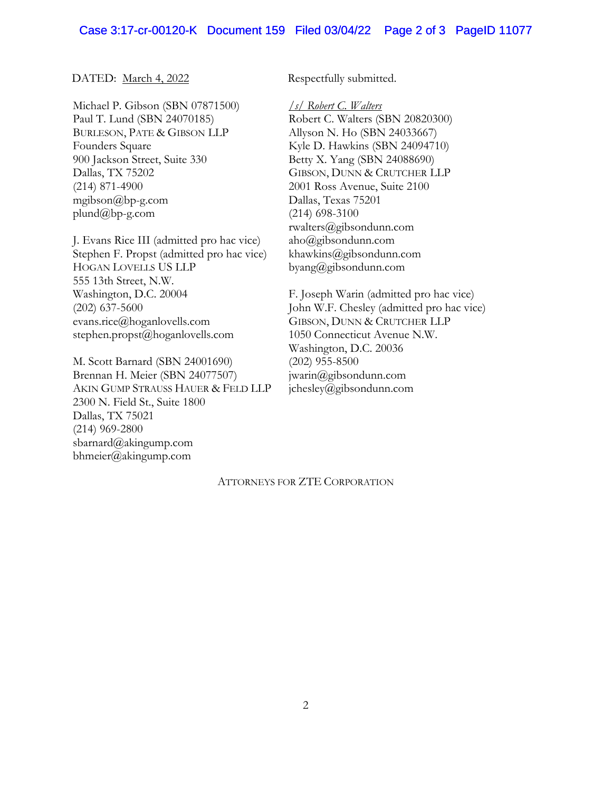### DATED: March 4, 2022 Respectfully submitted.

Michael P. Gibson (SBN 07871500) Paul T. Lund (SBN 24070185) BURLESON, PATE & GIBSON LLP Founders Square 900 Jackson Street, Suite 330 Dallas, TX 75202 (214) 871-4900 mgibson@bp-g.com plund@bp-g.com

J. Evans Rice III (admitted pro hac vice) Stephen F. Propst (admitted pro hac vice) HOGAN LOVELLS US LLP 555 13th Street, N.W. Washington, D.C. 20004 (202) 637-5600 evans.rice@hoganlovells.com stephen.propst@hoganlovells.com

M. Scott Barnard (SBN 24001690) Brennan H. Meier (SBN 24077507) AKIN GUMP STRAUSS HAUER & FELD LLP 2300 N. Field St., Suite 1800 Dallas, TX 75021 (214) 969-2800 sbarnard@akingump.com bhmeier@akingump.com

*/s/ Robert C. Walters* Robert C. Walters (SBN 20820300) Allyson N. Ho (SBN 24033667) Kyle D. Hawkins (SBN 24094710) Betty X. Yang (SBN 24088690) GIBSON, DUNN & CRUTCHER LLP 2001 Ross Avenue, Suite 2100 Dallas, Texas 75201 (214) 698-3100 rwalters@gibsondunn.com aho@gibsondunn.com khawkins@gibsondunn.com byang@gibsondunn.com

F. Joseph Warin (admitted pro hac vice) John W.F. Chesley (admitted pro hac vice) GIBSON, DUNN & CRUTCHER LLP 1050 Connecticut Avenue N.W. Washington, D.C. 20036 (202) 955-8500 jwarin@gibsondunn.com jchesley@gibsondunn.com

#### ATTORNEYS FOR ZTE CORPORATION